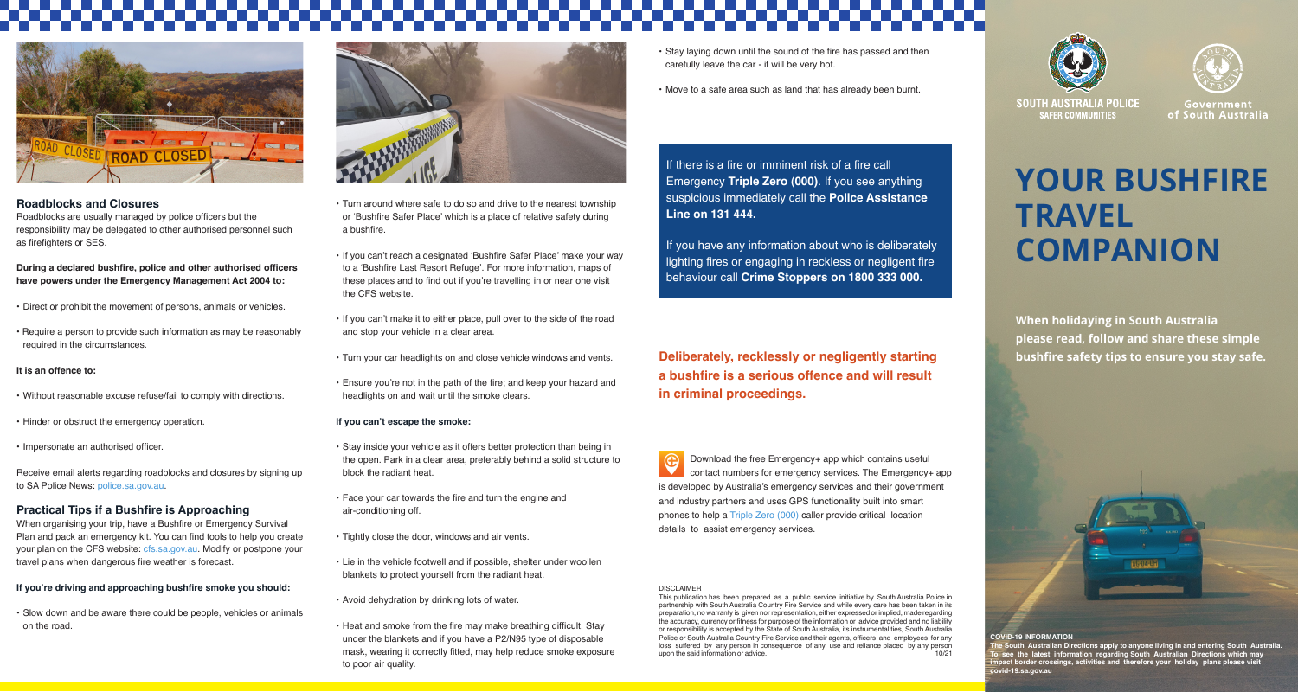

### **Roadblocks and Closures**

Roadblocks are usually managed by police officers but the responsibility may be delegated to other authorised personnel such as firefighters or SFS.

**During a declared bushfire, police and other authorised officers have powers under the Emergency Management Act 2004 to:**

- • Direct or prohibit the movement of persons, animals or vehicles.
- Require a person to provide such information as may be reasonably required in the circumstances.

### **It is an offence to:**

- Without reasonable excuse refuse/fail to comply with directions.
- Hinder or obstruct the emergency operation.
- Impersonate an authorised officer.

Receive email alerts regarding roadblocks and closures by signing up to SA Police News: police.sa.gov.au.

## **Practical Tips if a Bushfire is Approaching**

When organising your trip, have a Bushfire or Emergency Survival Plan and pack an emergency kit. You can find tools to help you create your plan on the CFS website: cfs.sa.gov.au. Modify or postpone your travel plans when dangerous fire weather is forecast.

### **If you're driving and approaching bushfire smoke you should:**

• Slow down and be aware there could be people, vehicles or animals on the road.



- Turn around where safe to do so and drive to the nearest township or 'Bushfire Safer Place' which is a place of relative safety during a bushfire.
- If you can't reach a designated 'Bushfire Safer Place' make your way to a 'Bushfire Last Resort Refuge'. For more information, maps of these places and to find out if you're travelling in or near one visit the CFS website.
- If you can't make it to either place, pull over to the side of the road and stop your vehicle in a clear area.
- Turn your car headlights on and close vehicle windows and vents.
- Ensure you're not in the path of the fire; and keep your hazard and headlights on and wait until the smoke clears.

### **If you can't escape the smoke:**

- Stay inside your vehicle as it offers better protection than being in the open. Park in a clear area, preferably behind a solid structure to block the radiant heat.
- • Face your car towards the fire and turn the engine and air-conditioning off.
- Tightly close the door, windows and air vents.
- Lie in the vehicle footwell and if possible, shelter under woollen blankets to protect yourself from the radiant heat.

• Avoid dehydration by drinking lots of water.

• Heat and smoke from the fire may make breathing difficult. Stay under the blankets and if you have a P2/N95 type of disposable mask, wearing it correctly fitted, may help reduce smoke exposure to poor air quality.

- Stay laying down until the sound of the fire has passed and then carefully leave the car - it will be very hot.
- • Move to a safe area such as land that has already been burnt.





**SOUTH AUSTRALIA POLICE SAFFR COMMUNITIES** 

Government of South Australia

### **YOUR BUSHFIRE TRAVEL COMPANION** If there is a fire or imminent risk of a fire call Emergency **Triple Zero (000)**. If you see anything suspicious immediately call the **Police Assistance**  If you have any information about who is deliberately

**When holidaying in South Australia please read, follow and share these simple bushfire safety tips to ensure you stay safe.** 

**Deliberately, recklessly or negligently starting a bushfire is a serious offence and will result in criminal proceedings.**

lighting fires or engaging in reckless or negligent fire behaviour call **Crime Stoppers on 1800 333 000.**

 Download the free Emergency+ app which contains useful contact numbers for emergency services. The Emergency+ app is developed by Australia's emergency services and their government and industry partners and uses GPS functionality built into smart phones to help a Triple Zero (000) caller provide critical location details to assist emergency services.

### DISCLAIMER

**Line on 131 444.**

This publication has been prepared as a public service initiative by South Australia Police in partnership with South Australia Country Fire Service and while every care has been taken in its preparation, no warranty is given nor representation, either expressed or implied, made regarding the accuracy, currency or fitness for purpose of the information or advice provided and no liability or responsibility is accepted by the State of South Australia, its instrumentalities, South Australia Police or South Australia Country Fire Service and their agents, officers and employees for any loss suffered by any person in consequence of any use and reliance placed by any person upon the said information or advice.

# AG 04 UH

### **COVID-19 INFORMATION**

The South Australian Directions apply to anyone living in and entering South Australia.<br>To see the latest information regarding South Australian Directions which may<br>impact border crossings, activities and therefo **covid-19.sa.gov.au**